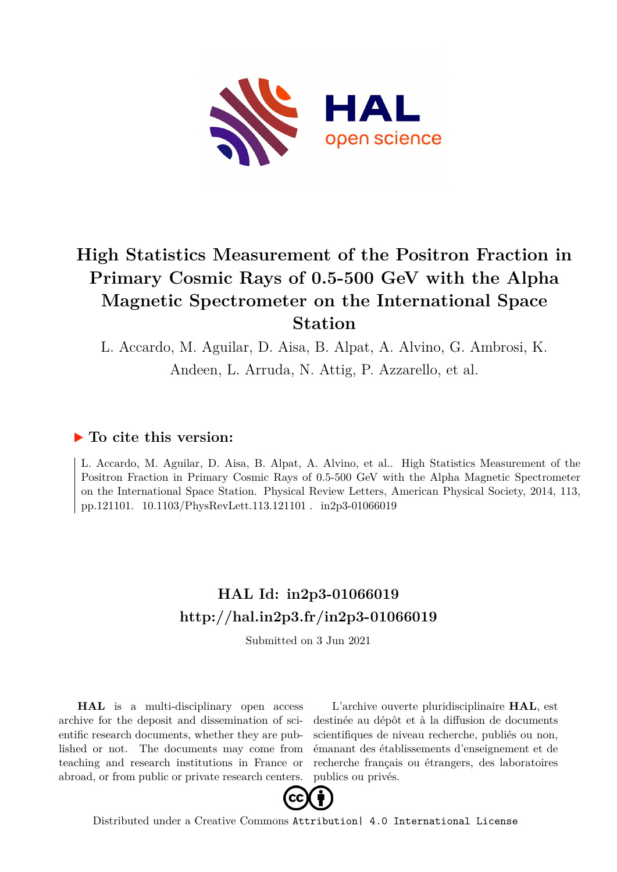

## **High Statistics Measurement of the Positron Fraction in Primary Cosmic Rays of 0.5-500 GeV with the Alpha Magnetic Spectrometer on the International Space Station**

L. Accardo, M. Aguilar, D. Aisa, B. Alpat, A. Alvino, G. Ambrosi, K. Andeen, L. Arruda, N. Attig, P. Azzarello, et al.

### **To cite this version:**

L. Accardo, M. Aguilar, D. Aisa, B. Alpat, A. Alvino, et al.. High Statistics Measurement of the Positron Fraction in Primary Cosmic Rays of 0.5-500 GeV with the Alpha Magnetic Spectrometer on the International Space Station. Physical Review Letters, American Physical Society, 2014, 113, pp.121101. 10.1103/PhysRevLett.113.121101. in2p3-01066019

## **HAL Id: in2p3-01066019 <http://hal.in2p3.fr/in2p3-01066019>**

Submitted on 3 Jun 2021

**HAL** is a multi-disciplinary open access archive for the deposit and dissemination of scientific research documents, whether they are published or not. The documents may come from teaching and research institutions in France or abroad, or from public or private research centers.

L'archive ouverte pluridisciplinaire **HAL**, est destinée au dépôt et à la diffusion de documents scientifiques de niveau recherche, publiés ou non, émanant des établissements d'enseignement et de recherche français ou étrangers, des laboratoires publics ou privés.



Distributed under a Creative Commons [Attribution| 4.0 International License](http://creativecommons.org/licenses/by/4.0/)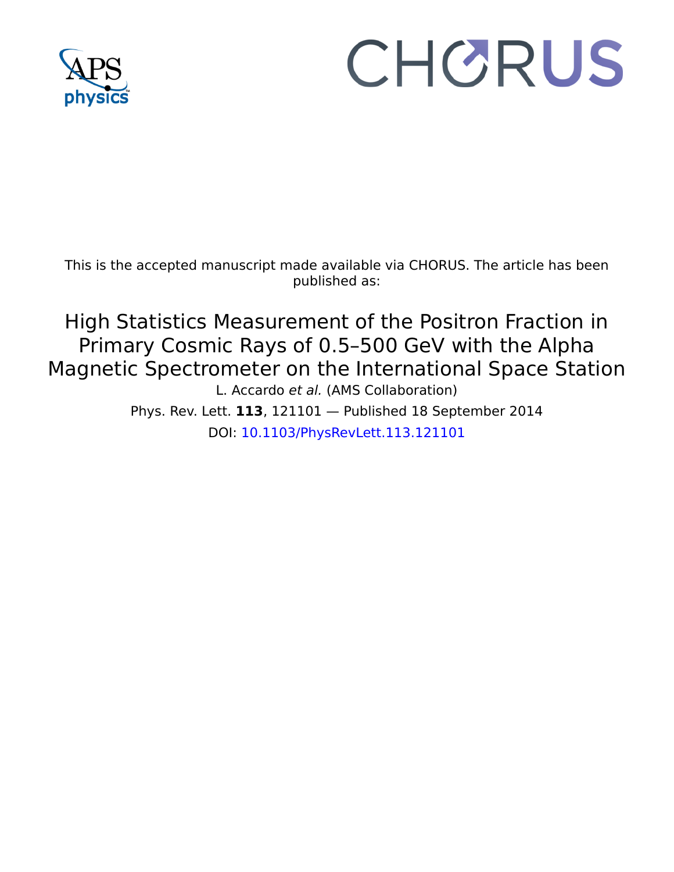

# CHORUS

This is the accepted manuscript made available via CHORUS. The article has been published as:

High Statistics Measurement of the Positron Fraction in Primary Cosmic Rays of 0.5–500 GeV with the Alpha Magnetic Spectrometer on the International Space Station L. Accardo et al. (AMS Collaboration)

> Phys. Rev. Lett. **113**, 121101 — Published 18 September 2014 DOI: [10.1103/PhysRevLett.113.121101](http://dx.doi.org/10.1103/PhysRevLett.113.121101)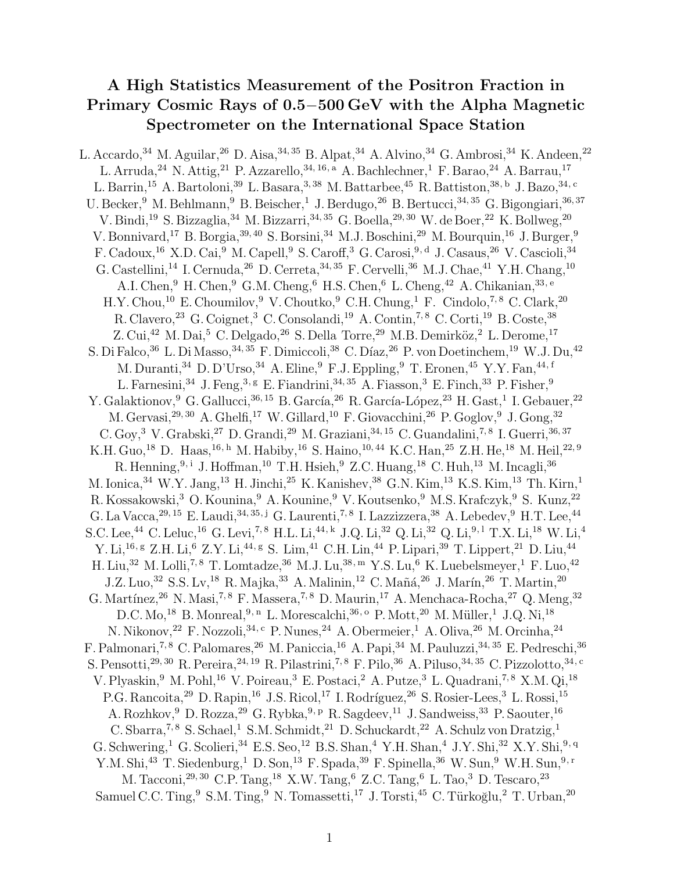### A High Statistics Measurement of the Positron Fraction in Primary Cosmic Rays of 0.5−500 GeV with the Alpha Magnetic Spectrometer on the International Space Station

L. Accardo,<sup>34</sup> M. Aguilar,<sup>26</sup> D. Aisa,<sup>34, 35</sup> B. Alpat,<sup>34</sup> A. Alvino,<sup>34</sup> G. Ambrosi,<sup>34</sup> K. Andeen,<sup>22</sup> L. Arruda,<sup>24</sup> N. Attig,<sup>21</sup> P. Azzarello,<sup>34, 16, a</sup> A. Bachlechner,<sup>1</sup> F. Barao,<sup>24</sup> A. Barrau,<sup>17</sup> L. Barrin,<sup>15</sup> A. Bartoloni,<sup>39</sup> L. Basara,<sup>3, 38</sup> M. Battarbee,<sup>45</sup> R. Battiston,<sup>38, b</sup> J. Bazo,<sup>34, c</sup> U. Becker, <sup>9</sup> M. Behlmann, <sup>9</sup> B. Beischer, <sup>1</sup> J. Berdugo, <sup>26</sup> B. Bertucci, <sup>34, 35</sup> G. Bigongiari, <sup>36, 37</sup> V. Bindi,<sup>19</sup> S. Bizzaglia,<sup>34</sup> M. Bizzarri,<sup>34, 35</sup> G. Boella,<sup>29, 30</sup> W. de Boer,<sup>22</sup> K. Bollweg,<sup>20</sup> V. Bonnivard,<sup>17</sup> B. Borgia,<sup>39, 40</sup> S. Borsini,<sup>34</sup> M.J. Boschini,<sup>29</sup> M. Bourquin,<sup>16</sup> J. Burger,<sup>9</sup> F. Cadoux,<sup>16</sup> X.D. Cai,<sup>9</sup> M. Capell,<sup>9</sup> S. Caroff,<sup>3</sup> G. Carosi,9, d J. Casaus,<sup>26</sup> V. Cascioli,<sup>34</sup> G. Castellini,<sup>14</sup> I. Cernuda,<sup>26</sup> D. Cerreta,<sup>34, 35</sup> F. Cervelli,<sup>36</sup> M.J. Chae,<sup>41</sup> Y.H. Chang,<sup>10</sup> A.I. Chen, <sup>9</sup> H. Chen, <sup>9</sup> G.M. Cheng, <sup>6</sup> H.S. Chen, <sup>6</sup> L. Cheng, <sup>42</sup> A. Chikanian, <sup>33, e</sup> H.Y. Chou,<sup>10</sup> E. Choumilov, <sup>9</sup> V. Choutko, <sup>9</sup> C.H. Chung, <sup>1</sup> F. Cindolo, <sup>7, 8</sup> C. Clark, <sup>20</sup> R. Clavero, <sup>23</sup> G. Coignet, <sup>3</sup> C. Consolandi, <sup>19</sup> A. Contin, <sup>7, 8</sup> C. Corti, <sup>19</sup> B. Coste, <sup>38</sup> Z. Cui,<sup>42</sup> M. Dai,<sup>5</sup> C. Delgado,<sup>26</sup> S. Della Torre,<sup>29</sup> M.B. Demirköz,<sup>2</sup> L. Derome,<sup>17</sup> S. Di Falco,  $36$  L. Di Masso,  $34, 35$  F. Dimiccoli,  $38$  C. Díaz,  $26$  P. von Doetinchem,  $19$  W.J. Du,  $42$ M. Duranti,<sup>34</sup> D. D'Urso,<sup>34</sup> A. Eline,<sup>9</sup> F.J. Eppling,<sup>9</sup> T. Eronen,<sup>45</sup> Y.Y. Fan,<sup>44, f</sup> L. Farnesini,  $34$  J. Feng,  $3,$  g E. Fiandrini,  $34,$   $35$  A. Fiasson,  $3$  E. Finch,  $33$  P. Fisher,  $9$ Y. Galaktionov, <sup>9</sup> G. Gallucci, <sup>36, 15</sup> B. García, <sup>26</sup> R. García-López, <sup>23</sup> H. Gast, <sup>1</sup> I. Gebauer, <sup>22</sup> M. Gervasi,  $29,30$  A. Ghelfi,  $17$  W. Gillard,  $10$  F. Giovacchini,  $26$  P. Goglov,  $9$  J. Gong,  $32$ C. Goy,  $3$  V. Grabski,  $27$  D. Grandi,  $29$  M. Graziani,  $34, 15$  C. Guandalini,  $7, 8$  I. Guerri,  $36, 37$ K.H. Guo,<sup>18</sup> D. Haas,<sup>16, h</sup> M. Habiby,<sup>16</sup> S. Haino,<sup>10, 44</sup> K.C. Han,<sup>25</sup> Z.H. He,<sup>18</sup> M. Heil,<sup>22, 9</sup> R. Henning,  $9, i$  J. Hoffman,  $10$  T.H. Hsieh,  $9$  Z.C. Huang,  $18$  C. Huh,  $13$  M. Incagli,  $36$ M. Ionica, <sup>34</sup> W.Y. Jang, <sup>13</sup> H. Jinchi, <sup>25</sup> K. Kanishev, <sup>38</sup> G.N. Kim, <sup>13</sup> K.S. Kim, <sup>13</sup> Th. Kirn, <sup>1</sup> R. Kossakowski,<sup>3</sup> O. Kounina,<sup>9</sup> A. Kounine,<sup>9</sup> V. Koutsenko,<sup>9</sup> M.S. Krafczyk,<sup>9</sup> S. Kunz,<sup>22</sup> G. La Vacca,  $^{29,15}$  E. Laudi,  $^{34,35,j}$  G. Laurenti,  $^{7,8}$  I. Lazzizzera,  $^{38}$  A. Lebedev,  $^{9}$  H.T. Lee,  $^{44}$ S.C. Lee,<sup>44</sup> C. Leluc,<sup>16</sup> G. Levi,<sup>7, 8</sup> H.L. Li,<sup>44, k</sup> J.Q. Li,<sup>32</sup> Q. Li,<sup>32</sup> Q. Li,<sup>9, 1</sup> T.X. Li,<sup>18</sup> W. Li,<sup>4</sup> Y. Li,<sup>16, g</sup> Z.H. Li,<sup>6</sup> Z.Y. Li,<sup>44, g</sup> S. Lim,<sup>41</sup> C.H. Lin,<sup>44</sup> P. Lipari,<sup>39</sup> T. Lippert,<sup>21</sup> D. Liu,<sup>44</sup> H. Liu,<sup>32</sup> M. Lolli,<sup>7,8</sup> T. Lomtadze,<sup>36</sup> M.J. Lu,<sup>38, m</sup> Y.S. Lu,<sup>6</sup> K. Luebelsmeyer,<sup>1</sup> F. Luo,<sup>42</sup> J.Z. Luo,<sup>32</sup> S.S. Lv,<sup>18</sup> R. Majka,<sup>33</sup> A. Malinin,<sup>12</sup> C. Mañá,<sup>26</sup> J. Marín,<sup>26</sup> T. Martin,<sup>20</sup> G. Martínez,  $^{26}$  N. Masi,  $^{7,8}$  F. Massera,  $^{7,8}$  D. Maurin,  $^{17}$  A. Menchaca-Rocha,  $^{27}$  Q. Meng,  $^{32}$ D.C. Mo,<sup>18</sup> B. Monreal,  $9, n$  L. Morescalchi,  $36, o$  P. Mott,  $20$  M. Müller,  $1$  J.Q. Ni,  $18$ N. Nikonov, <sup>22</sup> F. Nozzoli, <sup>34, c</sup> P. Nunes, <sup>24</sup> A. Obermeier, <sup>1</sup> A. Oliva, <sup>26</sup> M. Orcinha, <sup>24</sup> F. Palmonari,<sup>7, 8</sup> C. Palomares,<sup>26</sup> M. Paniccia,<sup>16</sup> A. Papi,<sup>34</sup> M. Pauluzzi,<sup>34, 35</sup> E. Pedreschi,<sup>36</sup> S. Pensotti,<sup>29, 30</sup> R. Pereira,<sup>24, 19</sup> R. Pilastrini,<sup>7, 8</sup> F. Pilo, <sup>36</sup> A. Piluso, <sup>34, 35</sup> C. Pizzolotto, <sup>34, c</sup> V. Plyaskin, <sup>9</sup> M. Pohl, <sup>16</sup> V. Poireau, <sup>3</sup> E. Postaci, <sup>2</sup> A. Putze, <sup>3</sup> L. Quadrani, <sup>7, 8</sup> X.M. Qi, <sup>18</sup> P.G. Rancoita, <sup>29</sup> D. Rapin, <sup>16</sup> J.S. Ricol, <sup>17</sup> I. Rodríguez, <sup>26</sup> S. Rosier-Lees, <sup>3</sup> L. Rossi, <sup>15</sup> A. Rozhkov, <sup>9</sup> D. Rozza, <sup>29</sup> G. Rybka, <sup>9, p</sup> R. Sagdeev, <sup>11</sup> J. Sandweiss, <sup>33</sup> P. Saouter, <sup>16</sup> C. Sbarra,<sup>7,8</sup> S. Schael,<sup>1</sup> S.M. Schmidt,<sup>21</sup> D. Schuckardt,<sup>22</sup> A. Schulz von Dratzig,<sup>1</sup> G. Schwering,<sup>1</sup> G. Scolieri,<sup>34</sup> E.S. Seo,<sup>12</sup> B.S. Shan,<sup>4</sup> Y.H. Shan,<sup>4</sup> J.Y. Shi,<sup>32</sup> X.Y. Shi,<sup>9, q</sup> Y.M. Shi,<sup>43</sup> T. Siedenburg,<sup>1</sup> D. Son,<sup>13</sup> F. Spada,<sup>39</sup> F. Spinella,<sup>36</sup> W. Sun,<sup>9</sup> W.H. Sun,<sup>9, r</sup> M. Tacconi,29, 30 C.P. Tang,<sup>18</sup> X.W. Tang,<sup>6</sup> Z.C. Tang,<sup>6</sup> L. Tao,<sup>3</sup> D. Tescaro,<sup>23</sup> Samuel C.C. Ting, $9 \text{ S.M.}$  Ting, $9 \text{ N.}$  Tomassetti, $17 \text{ J.}$  Torsti, $45 \text{ C.}$  Türkoğlu, $2 \text{ T.}$  Urban, $20 \text{ N.}$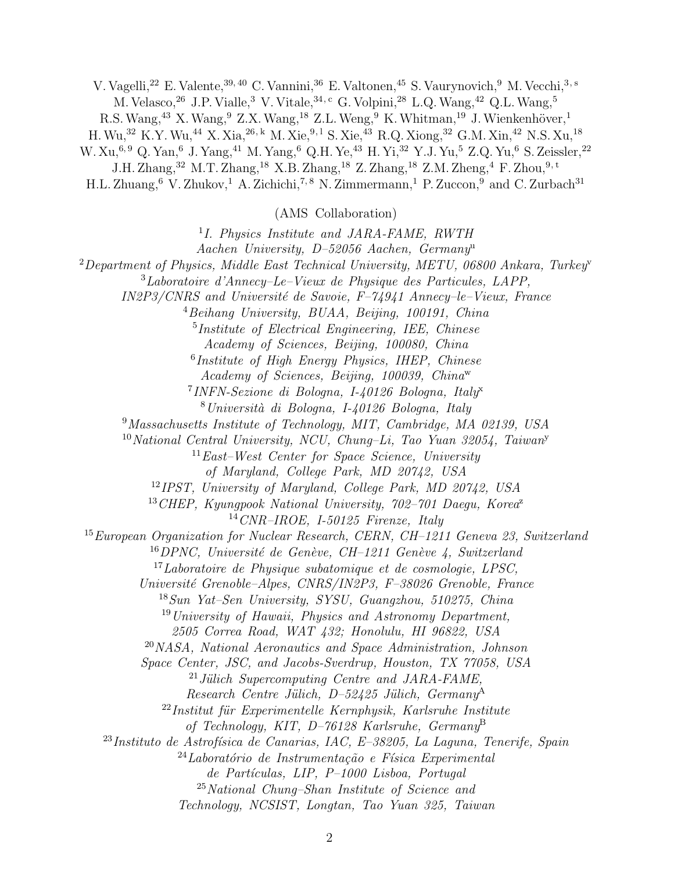V. Vagelli,<sup>22</sup> E. Valente,<sup>39, 40</sup> C. Vannini,<sup>36</sup> E. Valtonen,<sup>45</sup> S. Vaurynovich,<sup>9</sup> M. Vecchi,<sup>3, s</sup> M. Velasco,  $^{26}$  J.P. Vialle,  $^3$  V. Vitale,  $^{34,c}$  G. Volpini,  $^{28}$  L.Q. Wang,  $^{42}$  Q.L. Wang,  $^5$ R.S. Wang,<sup>43</sup> X. Wang,<sup>9</sup> Z.X. Wang,<sup>18</sup> Z.L. Weng,<sup>9</sup> K. Whitman,<sup>19</sup> J. Wienkenhöver,<sup>1</sup> H.Wu,<sup>32</sup> K.Y.Wu,<sup>44</sup> X. Xia,26, k M. Xie,9, l S. Xie,<sup>43</sup> R.Q. Xiong,<sup>32</sup> G.M. Xin,<sup>42</sup> N.S. Xu,<sup>18</sup> W. Xu,<sup>6, 9</sup> Q. Yan,<sup>6</sup> J. Yang,<sup>41</sup> M. Yang,<sup>6</sup> Q.H. Ye,<sup>43</sup> H. Yi,<sup>32</sup> Y.J. Yu,<sup>5</sup> Z.Q. Yu,<sup>6</sup> S. Zeissler,<sup>22</sup> J.H. Zhang,<sup>32</sup> M.T. Zhang,<sup>18</sup> X.B. Zhang,<sup>18</sup> Z. Zhang,<sup>18</sup> Z.M. Zheng,<sup>4</sup> F. Zhou,<sup>9, t</sup> H.L. Zhuang,  $6 \text{ V}$ . Zhukov,  $1 \text{ A}$ . Zichichi,  $7, 8 \text{ N}$ . Zimmermann,  $1 \text{ P}$ . Zuccon,  $9 \text{ and } C$ . Zurbach $31$ (AMS Collaboration)

<sup>1</sup>I. Physics Institute and JARA-FAME, RWTH Aachen University, D–52056 Aachen, Germany<sup>u</sup> <sup>2</sup>Department of Physics, Middle East Technical University, METU, 06800 Ankara, Turkey  ${}^{3}$ Laboratoire d'Annecy–Le–Vieux de Physique des Particules, LAPP,  $IN2P3/CNRS$  and Université de Savoie,  $F-74941$  Annecy–le–Vieux, France <sup>4</sup>Beihang University, BUAA, Beijing, 100191, China 5 Institute of Electrical Engineering, IEE, Chinese Academy of Sciences, Beijing, 100080, China 6 Institute of High Energy Physics, IHEP, Chinese Academy of Sciences, Beijing, 100039, China<sup>w</sup> <sup>7</sup> INFN-Sezione di Bologna, I-40126 Bologna, Italy<sup>x</sup>  $8$ Università di Bologna, I-40126 Bologna, Italy <sup>9</sup>Massachusetts Institute of Technology, MIT, Cambridge, MA 02139, USA <sup>10</sup>National Central University, NCU, Chung–Li, Tao Yuan 32054, Taiwan<sup>y</sup>  $11$ East–West Center for Space Science, University of Maryland, College Park, MD 20742, USA <sup>12</sup>IPST, University of Maryland, College Park, MD 20742, USA  $13$  CHEP, Kyunqpook National University,  $702-701$  Daequ, Korea<sup>z</sup>  $14$  CNR–IROE, I-50125 Firenze, Italy <sup>15</sup>European Organization for Nuclear Research, CERN, CH–1211 Geneva 23, Switzerland  $16$  DPNC, Université de Genève, CH-1211 Genève 4, Switzerland  $17$ Laboratoire de Physique subatomique et de cosmologie, LPSC, Université Grenoble–Alpes, CNRS/IN2P3, F–38026 Grenoble, France <sup>18</sup>Sun Yat–Sen University, SYSU, Guangzhou, 510275, China <sup>19</sup>University of Hawaii, Physics and Astronomy Department, 2505 Correa Road, WAT 432; Honolulu, HI 96822, USA <sup>20</sup>NASA, National Aeronautics and Space Administration, Johnson Space Center, JSC, and Jacobs-Sverdrup, Houston, TX 77058, USA  $^{21}$ Jülich Supercomputing Centre and JARA-FAME, Research Centre Jülich, D–52425 Jülich, Germany<sup>A</sup>  $22$ Institut für Experimentelle Kernphysik, Karlsruhe Institute of Technology, KIT, D-76128 Karlsruhe, Germany<sup>B</sup>  $^{23}$ Instituto de Astrofísica de Canarias, IAC, E-38205, La Laguna, Tenerife, Spain  $^{24}$ Laboratório de Instrumentação e Física Experimental  $de Partículas, LIP, P-1000 Lisboa, Portugal$ <sup>25</sup>National Chung–Shan Institute of Science and Technology, NCSIST, Longtan, Tao Yuan 325, Taiwan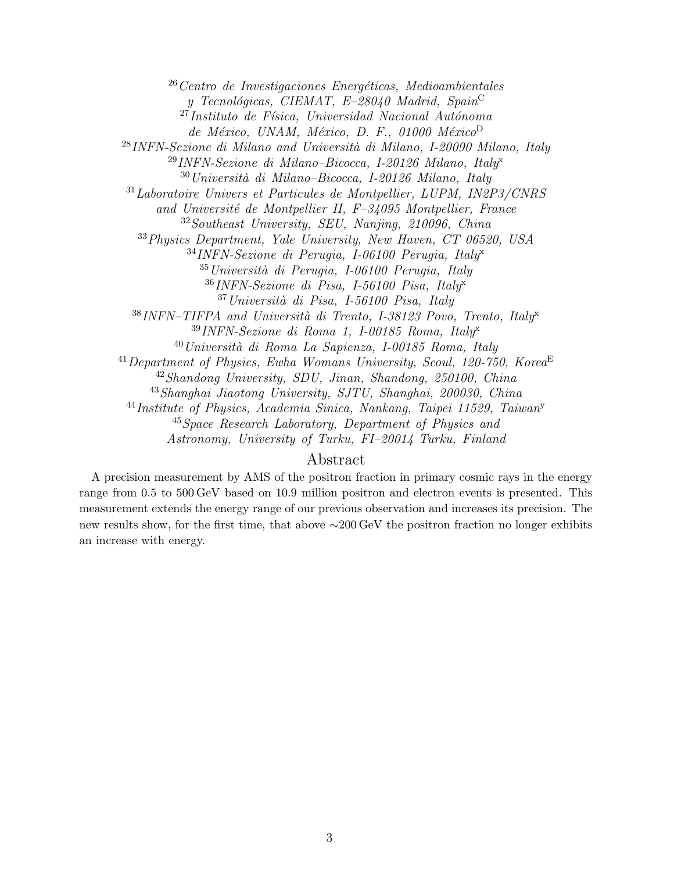Centro de Investigaciones Energéticas, Medioambientales y Tecnológicas, CIEMAT, E-28040 Madrid, Spain<sup>C</sup>  $^{27}$ Instituto de Física, Universidad Nacional Autónoma de México, UNAM, México, D. F., 01000 México<sup>D</sup> INFN-Sezione di Milano and Università di Milano, I-20090 Milano, Italy INFN-Sezione di Milano–Bicocca, I-20126 Milano, Italyx Università di Milano–Bicocca, I-20126 Milano, Italy Laboratoire Univers et Particules de Montpellier, LUPM, IN2P3/CNRS and Université de Montpellier II, F-34095 Montpellier, France Southeast University, SEU, Nanjing, 210096, China Physics Department, Yale University, New Haven, CT 06520, USA INFN-Sezione di Perugia, I-06100 Perugia, Italyx Università di Perugia, I-06100 Perugia, Italy INFN-Sezione di Pisa, I-56100 Pisa, Italyx Università di Pisa, I-56100 Pisa, Italy INFN–TIFPA and Università di Trento, I-38123 Povo, Trento, Italyx INFN-Sezione di Roma 1, I-00185 Roma, Italy<sup>x</sup>  $^{40}$ Università di Roma La Sapienza, I-00185 Roma, Italy  $^{41}$ Department of Physics, Ewha Womans University, Seoul, 120-750, Korea<sup>E</sup> Shandong University, SDU, Jinan, Shandong, 250100, China Shanghai Jiaotong University, SJTU, Shanghai, 200030, China Institute of Physics, Academia Sinica, Nankang, Taipei 11529, Taiwan<sup>y</sup> Space Research Laboratory, Department of Physics and Astronomy, University of Turku, FI–20014 Turku, Finland

#### Abstract

A precision measurement by AMS of the positron fraction in primary cosmic rays in the energy range from 0.5 to 500 GeV based on 10.9 million positron and electron events is presented. This measurement extends the energy range of our previous observation and increases its precision. The new results show, for the first time, that above ∼200 GeV the positron fraction no longer exhibits an increase with energy.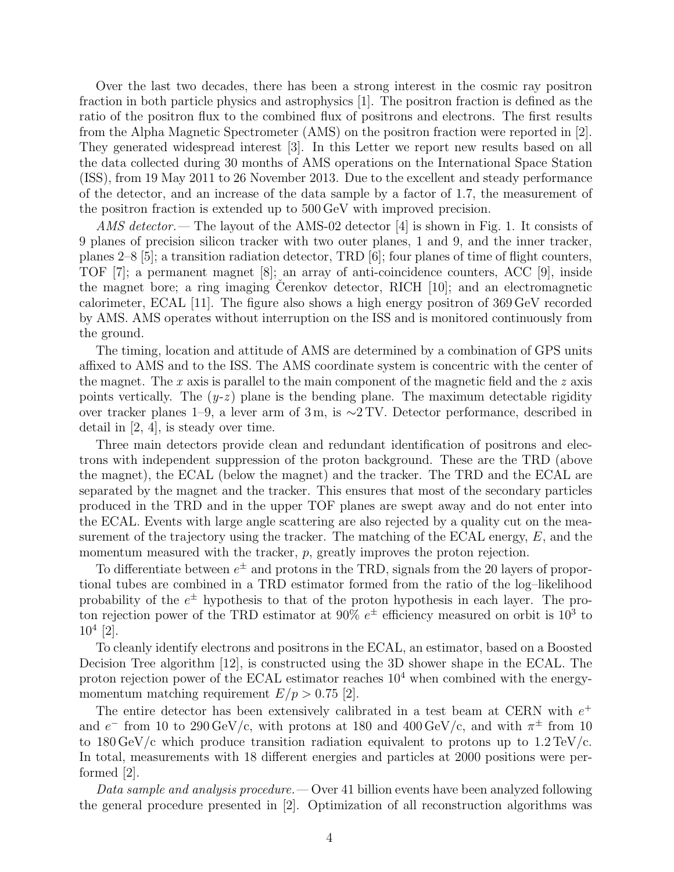Over the last two decades, there has been a strong interest in the cosmic ray positron fraction in both particle physics and astrophysics [1]. The positron fraction is defined as the ratio of the positron flux to the combined flux of positrons and electrons. The first results from the Alpha Magnetic Spectrometer (AMS) on the positron fraction were reported in [2]. They generated widespread interest [3]. In this Letter we report new results based on all the data collected during 30 months of AMS operations on the International Space Station (ISS), from 19 May 2011 to 26 November 2013. Due to the excellent and steady performance of the detector, and an increase of the data sample by a factor of 1.7, the measurement of the positron fraction is extended up to 500 GeV with improved precision.

AMS detector.— The layout of the AMS-02 detector [4] is shown in Fig. 1. It consists of 9 planes of precision silicon tracker with two outer planes, 1 and 9, and the inner tracker, planes 2–8 [5]; a transition radiation detector, TRD [6]; four planes of time of flight counters, TOF [7]; a permanent magnet [8]; an array of anti-coincidence counters, ACC [9], inside the magnet bore; a ring imaging Cerenkov detector, RICH  $[10]$ ; and an electromagnetic calorimeter, ECAL [11]. The figure also shows a high energy positron of 369 GeV recorded by AMS. AMS operates without interruption on the ISS and is monitored continuously from the ground.

The timing, location and attitude of AMS are determined by a combination of GPS units affixed to AMS and to the ISS. The AMS coordinate system is concentric with the center of the magnet. The x axis is parallel to the main component of the magnetic field and the  $z$  axis points vertically. The  $(y-z)$  plane is the bending plane. The maximum detectable rigidity over tracker planes 1–9, a lever arm of 3 m, is ∼2 TV. Detector performance, described in detail in  $[2, 4]$ , is steady over time.

Three main detectors provide clean and redundant identification of positrons and electrons with independent suppression of the proton background. These are the TRD (above the magnet), the ECAL (below the magnet) and the tracker. The TRD and the ECAL are separated by the magnet and the tracker. This ensures that most of the secondary particles produced in the TRD and in the upper TOF planes are swept away and do not enter into the ECAL. Events with large angle scattering are also rejected by a quality cut on the measurement of the trajectory using the tracker. The matching of the ECAL energy,  $E$ , and the momentum measured with the tracker, p, greatly improves the proton rejection.

To differentiate between  $e^{\pm}$  and protons in the TRD, signals from the 20 layers of proportional tubes are combined in a TRD estimator formed from the ratio of the log–likelihood probability of the  $e^{\pm}$  hypothesis to that of the proton hypothesis in each layer. The proton rejection power of the TRD estimator at 90%  $e^{\pm}$  efficiency measured on orbit is  $10^3$  to  $10^4$  [2].

To cleanly identify electrons and positrons in the ECAL, an estimator, based on a Boosted Decision Tree algorithm [12], is constructed using the 3D shower shape in the ECAL. The proton rejection power of the ECAL estimator reaches  $10<sup>4</sup>$  when combined with the energymomentum matching requirement  $E/p > 0.75$  [2].

The entire detector has been extensively calibrated in a test beam at CERN with  $e^+$ and  $e^-$  from 10 to 290 GeV/c, with protons at 180 and 400 GeV/c, and with  $\pi^{\pm}$  from 10 to  $180 \,\text{GeV/c}$  which produce transition radiation equivalent to protons up to  $1.2 \,\text{TeV/c}$ . In total, measurements with 18 different energies and particles at 2000 positions were performed [2].

Data sample and analysis procedure.  $\sim$  Over 41 billion events have been analyzed following the general procedure presented in [2]. Optimization of all reconstruction algorithms was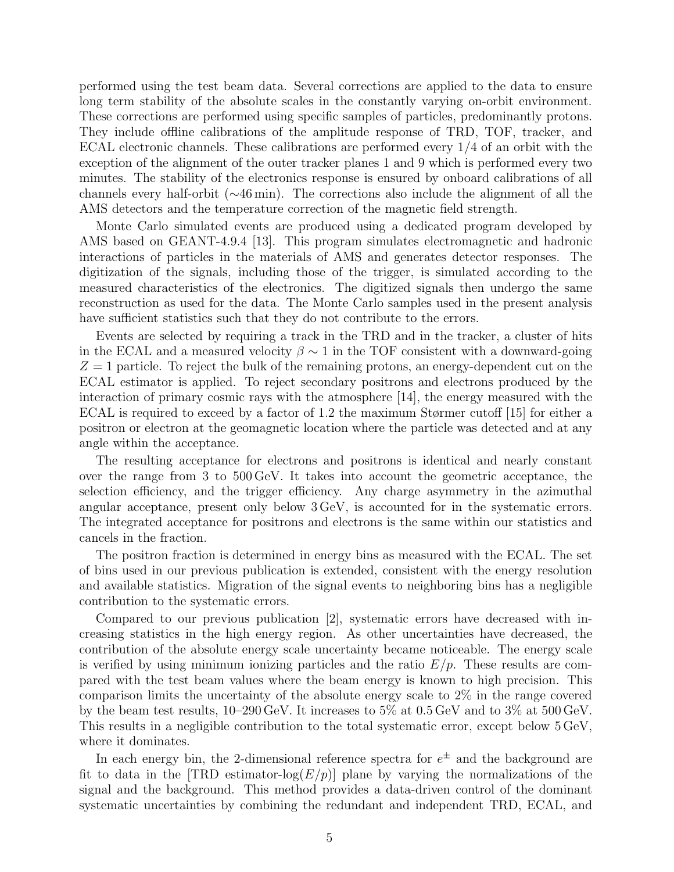performed using the test beam data. Several corrections are applied to the data to ensure long term stability of the absolute scales in the constantly varying on-orbit environment. These corrections are performed using specific samples of particles, predominantly protons. They include offline calibrations of the amplitude response of TRD, TOF, tracker, and ECAL electronic channels. These calibrations are performed every 1/4 of an orbit with the exception of the alignment of the outer tracker planes 1 and 9 which is performed every two minutes. The stability of the electronics response is ensured by onboard calibrations of all channels every half-orbit (∼46 min). The corrections also include the alignment of all the AMS detectors and the temperature correction of the magnetic field strength.

Monte Carlo simulated events are produced using a dedicated program developed by AMS based on GEANT-4.9.4 [13]. This program simulates electromagnetic and hadronic interactions of particles in the materials of AMS and generates detector responses. The digitization of the signals, including those of the trigger, is simulated according to the measured characteristics of the electronics. The digitized signals then undergo the same reconstruction as used for the data. The Monte Carlo samples used in the present analysis have sufficient statistics such that they do not contribute to the errors.

Events are selected by requiring a track in the TRD and in the tracker, a cluster of hits in the ECAL and a measured velocity  $\beta \sim 1$  in the TOF consistent with a downward-going  $Z = 1$  particle. To reject the bulk of the remaining protons, an energy-dependent cut on the ECAL estimator is applied. To reject secondary positrons and electrons produced by the interaction of primary cosmic rays with the atmosphere [14], the energy measured with the ECAL is required to exceed by a factor of 1.2 the maximum Størmer cutoff [15] for either a positron or electron at the geomagnetic location where the particle was detected and at any angle within the acceptance.

The resulting acceptance for electrons and positrons is identical and nearly constant over the range from 3 to 500 GeV. It takes into account the geometric acceptance, the selection efficiency, and the trigger efficiency. Any charge asymmetry in the azimuthal angular acceptance, present only below 3 GeV, is accounted for in the systematic errors. The integrated acceptance for positrons and electrons is the same within our statistics and cancels in the fraction.

The positron fraction is determined in energy bins as measured with the ECAL. The set of bins used in our previous publication is extended, consistent with the energy resolution and available statistics. Migration of the signal events to neighboring bins has a negligible contribution to the systematic errors.

Compared to our previous publication [2], systematic errors have decreased with increasing statistics in the high energy region. As other uncertainties have decreased, the contribution of the absolute energy scale uncertainty became noticeable. The energy scale is verified by using minimum ionizing particles and the ratio  $E/p$ . These results are compared with the test beam values where the beam energy is known to high precision. This comparison limits the uncertainty of the absolute energy scale to 2% in the range covered by the beam test results,  $10-290 \,\text{GeV}$ . It increases to  $5\%$  at  $0.5 \,\text{GeV}$  and to  $3\%$  at  $500 \,\text{GeV}$ . This results in a negligible contribution to the total systematic error, except below 5 GeV, where it dominates.

In each energy bin, the 2-dimensional reference spectra for  $e^{\pm}$  and the background are fit to data in the [TRD estimator-log( $E/p$ ] plane by varying the normalizations of the signal and the background. This method provides a data-driven control of the dominant systematic uncertainties by combining the redundant and independent TRD, ECAL, and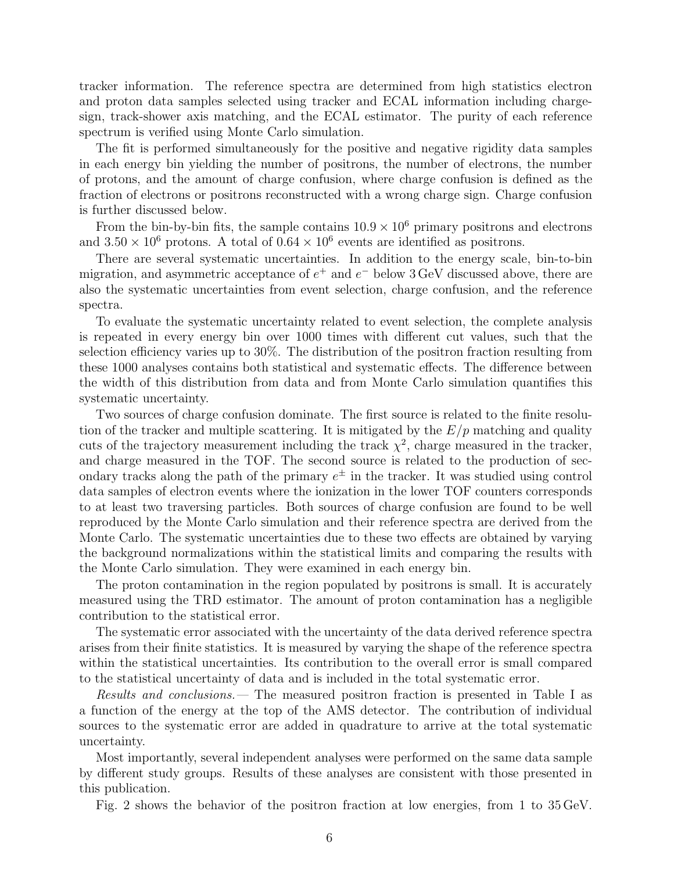tracker information. The reference spectra are determined from high statistics electron and proton data samples selected using tracker and ECAL information including chargesign, track-shower axis matching, and the ECAL estimator. The purity of each reference spectrum is verified using Monte Carlo simulation.

The fit is performed simultaneously for the positive and negative rigidity data samples in each energy bin yielding the number of positrons, the number of electrons, the number of protons, and the amount of charge confusion, where charge confusion is defined as the fraction of electrons or positrons reconstructed with a wrong charge sign. Charge confusion is further discussed below.

From the bin-by-bin fits, the sample contains  $10.9 \times 10^6$  primary positrons and electrons and  $3.50 \times 10^6$  protons. A total of  $0.64 \times 10^6$  events are identified as positrons.

There are several systematic uncertainties. In addition to the energy scale, bin-to-bin migration, and asymmetric acceptance of  $e^+$  and  $e^-$  below 3 GeV discussed above, there are also the systematic uncertainties from event selection, charge confusion, and the reference spectra.

To evaluate the systematic uncertainty related to event selection, the complete analysis is repeated in every energy bin over 1000 times with different cut values, such that the selection efficiency varies up to 30%. The distribution of the positron fraction resulting from these 1000 analyses contains both statistical and systematic effects. The difference between the width of this distribution from data and from Monte Carlo simulation quantifies this systematic uncertainty.

Two sources of charge confusion dominate. The first source is related to the finite resolution of the tracker and multiple scattering. It is mitigated by the  $E/p$  matching and quality cuts of the trajectory measurement including the track  $\chi^2$ , charge measured in the tracker, and charge measured in the TOF. The second source is related to the production of secondary tracks along the path of the primary  $e^{\pm}$  in the tracker. It was studied using control data samples of electron events where the ionization in the lower TOF counters corresponds to at least two traversing particles. Both sources of charge confusion are found to be well reproduced by the Monte Carlo simulation and their reference spectra are derived from the Monte Carlo. The systematic uncertainties due to these two effects are obtained by varying the background normalizations within the statistical limits and comparing the results with the Monte Carlo simulation. They were examined in each energy bin.

The proton contamination in the region populated by positrons is small. It is accurately measured using the TRD estimator. The amount of proton contamination has a negligible contribution to the statistical error.

The systematic error associated with the uncertainty of the data derived reference spectra arises from their finite statistics. It is measured by varying the shape of the reference spectra within the statistical uncertainties. Its contribution to the overall error is small compared to the statistical uncertainty of data and is included in the total systematic error.

Results and conclusions.— The measured positron fraction is presented in Table I as a function of the energy at the top of the AMS detector. The contribution of individual sources to the systematic error are added in quadrature to arrive at the total systematic uncertainty.

Most importantly, several independent analyses were performed on the same data sample by different study groups. Results of these analyses are consistent with those presented in this publication.

Fig. 2 shows the behavior of the positron fraction at low energies, from 1 to 35 GeV.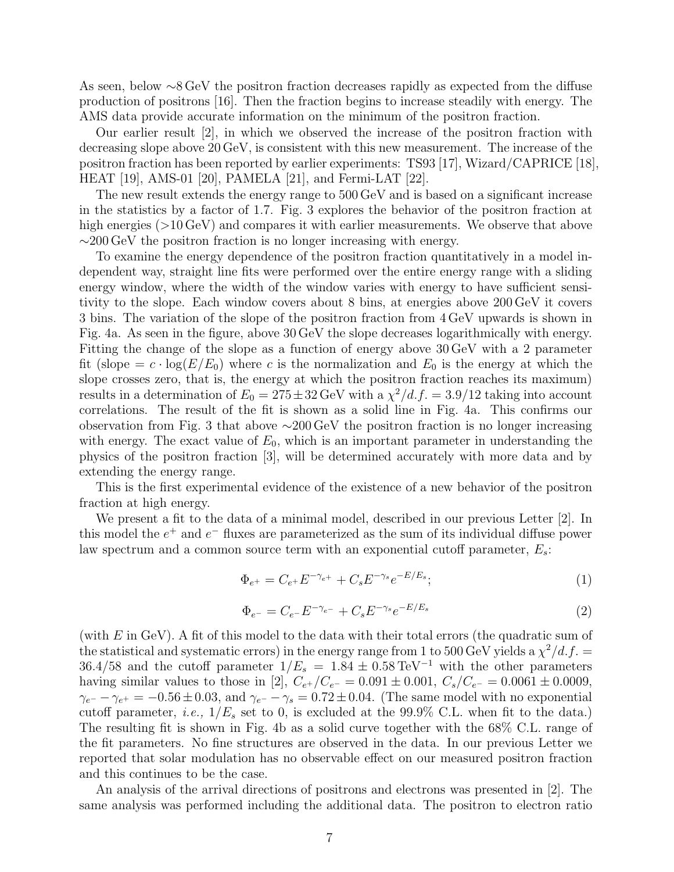As seen, below ∼8 GeV the positron fraction decreases rapidly as expected from the diffuse production of positrons [16]. Then the fraction begins to increase steadily with energy. The AMS data provide accurate information on the minimum of the positron fraction.

Our earlier result [2], in which we observed the increase of the positron fraction with decreasing slope above 20 GeV, is consistent with this new measurement. The increase of the positron fraction has been reported by earlier experiments: TS93 [17], Wizard/CAPRICE [18], HEAT [19], AMS-01 [20], PAMELA [21], and Fermi-LAT [22].

The new result extends the energy range to 500 GeV and is based on a significant increase in the statistics by a factor of 1.7. Fig. 3 explores the behavior of the positron fraction at high energies ( $>10 \,\text{GeV}$ ) and compares it with earlier measurements. We observe that above ∼200 GeV the positron fraction is no longer increasing with energy.

To examine the energy dependence of the positron fraction quantitatively in a model independent way, straight line fits were performed over the entire energy range with a sliding energy window, where the width of the window varies with energy to have sufficient sensitivity to the slope. Each window covers about 8 bins, at energies above 200 GeV it covers 3 bins. The variation of the slope of the positron fraction from 4 GeV upwards is shown in Fig. 4a. As seen in the figure, above 30 GeV the slope decreases logarithmically with energy. Fitting the change of the slope as a function of energy above 30 GeV with a 2 parameter fit (slope  $=c \cdot \log(E/E_0)$ ) where c is the normalization and  $E_0$  is the energy at which the slope crosses zero, that is, the energy at which the positron fraction reaches its maximum) results in a determination of  $E_0 = 275 \pm 32$  GeV with a  $\chi^2/d.f. = 3.9/12$  taking into account correlations. The result of the fit is shown as a solid line in Fig. 4a. This confirms our observation from Fig. 3 that above ∼200 GeV the positron fraction is no longer increasing with energy. The exact value of  $E_0$ , which is an important parameter in understanding the physics of the positron fraction [3], will be determined accurately with more data and by extending the energy range.

This is the first experimental evidence of the existence of a new behavior of the positron fraction at high energy.

We present a fit to the data of a minimal model, described in our previous Letter [2]. In this model the  $e^+$  and  $e^-$  fluxes are parameterized as the sum of its individual diffuse power law spectrum and a common source term with an exponential cutoff parameter,  $E_s$ :

$$
\Phi_{e^+} = C_{e^+} E^{-\gamma_{e^+}} + C_s E^{-\gamma_s} e^{-E/E_s};\tag{1}
$$

$$
\Phi_{e^-} = C_{e^-} E^{-\gamma_{e^-}} + C_s E^{-\gamma_s} e^{-E/E_s}
$$
\n(2)

(with  $E$  in GeV). A fit of this model to the data with their total errors (the quadratic sum of the statistical and systematic errors) in the energy range from 1 to 500 GeV yields a  $\chi^2/d.f.$ 36.4/58 and the cutoff parameter  $1/E_s = 1.84 \pm 0.58 \,\text{TeV}^{-1}$  with the other parameters having similar values to those in [2],  $C_{e^+}/C_{e^-} = 0.091 \pm 0.001$ ,  $C_s/C_{e^-} = 0.0061 \pm 0.0009$ ,  $\gamma_{e^-} - \gamma_{e^+} = -0.56 \pm 0.03$ , and  $\gamma_{e^-} - \gamma_s = 0.72 \pm 0.04$ . (The same model with no exponential cutoff parameter, *i.e.*,  $1/E_s$  set to 0, is excluded at the 99.9% C.L. when fit to the data.) The resulting fit is shown in Fig. 4b as a solid curve together with the 68% C.L. range of the fit parameters. No fine structures are observed in the data. In our previous Letter we reported that solar modulation has no observable effect on our measured positron fraction and this continues to be the case.

An analysis of the arrival directions of positrons and electrons was presented in [2]. The same analysis was performed including the additional data. The positron to electron ratio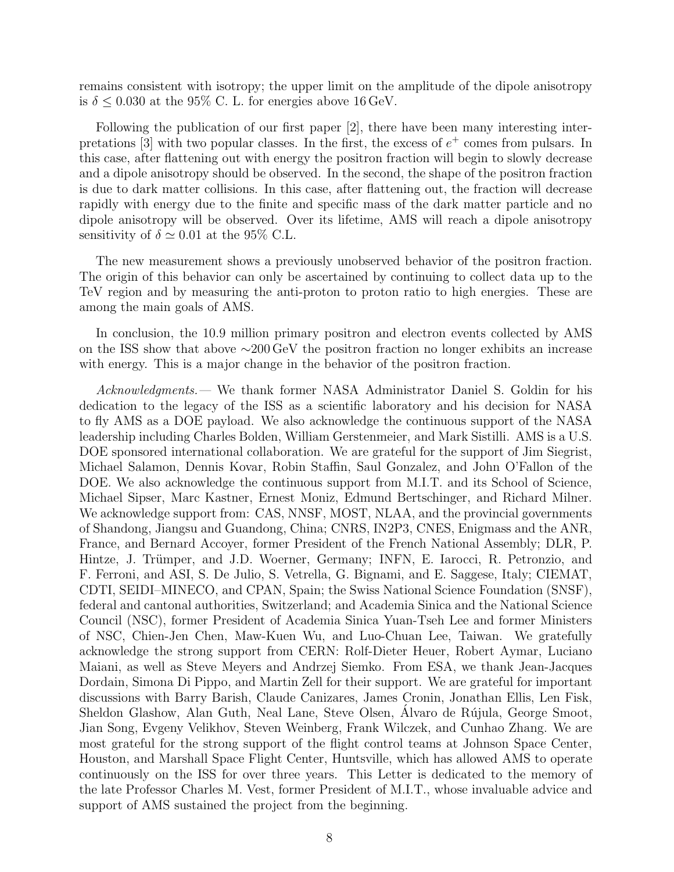remains consistent with isotropy; the upper limit on the amplitude of the dipole anisotropy is  $\delta \leq 0.030$  at the 95% C. L. for energies above 16 GeV.

Following the publication of our first paper [2], there have been many interesting interpretations  $[3]$  with two popular classes. In the first, the excess of  $e^+$  comes from pulsars. In this case, after flattening out with energy the positron fraction will begin to slowly decrease and a dipole anisotropy should be observed. In the second, the shape of the positron fraction is due to dark matter collisions. In this case, after flattening out, the fraction will decrease rapidly with energy due to the finite and specific mass of the dark matter particle and no dipole anisotropy will be observed. Over its lifetime, AMS will reach a dipole anisotropy sensitivity of  $\delta \simeq 0.01$  at the 95% C.L.

The new measurement shows a previously unobserved behavior of the positron fraction. The origin of this behavior can only be ascertained by continuing to collect data up to the TeV region and by measuring the anti-proton to proton ratio to high energies. These are among the main goals of AMS.

In conclusion, the 10.9 million primary positron and electron events collected by AMS on the ISS show that above ∼200 GeV the positron fraction no longer exhibits an increase with energy. This is a major change in the behavior of the positron fraction.

Acknowledgments.— We thank former NASA Administrator Daniel S. Goldin for his dedication to the legacy of the ISS as a scientific laboratory and his decision for NASA to fly AMS as a DOE payload. We also acknowledge the continuous support of the NASA leadership including Charles Bolden, William Gerstenmeier, and Mark Sistilli. AMS is a U.S. DOE sponsored international collaboration. We are grateful for the support of Jim Siegrist, Michael Salamon, Dennis Kovar, Robin Staffin, Saul Gonzalez, and John O'Fallon of the DOE. We also acknowledge the continuous support from M.I.T. and its School of Science, Michael Sipser, Marc Kastner, Ernest Moniz, Edmund Bertschinger, and Richard Milner. We acknowledge support from: CAS, NNSF, MOST, NLAA, and the provincial governments of Shandong, Jiangsu and Guandong, China; CNRS, IN2P3, CNES, Enigmass and the ANR, France, and Bernard Accoyer, former President of the French National Assembly; DLR, P. Hintze, J. Trümper, and J.D. Woerner, Germany; INFN, E. Iarocci, R. Petronzio, and F. Ferroni, and ASI, S. De Julio, S. Vetrella, G. Bignami, and E. Saggese, Italy; CIEMAT, CDTI, SEIDI–MINECO, and CPAN, Spain; the Swiss National Science Foundation (SNSF), federal and cantonal authorities, Switzerland; and Academia Sinica and the National Science Council (NSC), former President of Academia Sinica Yuan-Tseh Lee and former Ministers of NSC, Chien-Jen Chen, Maw-Kuen Wu, and Luo-Chuan Lee, Taiwan. We gratefully acknowledge the strong support from CERN: Rolf-Dieter Heuer, Robert Aymar, Luciano Maiani, as well as Steve Meyers and Andrzej Siemko. From ESA, we thank Jean-Jacques Dordain, Simona Di Pippo, and Martin Zell for their support. We are grateful for important discussions with Barry Barish, Claude Canizares, James Cronin, Jonathan Ellis, Len Fisk, Sheldon Glashow, Alan Guth, Neal Lane, Steve Olsen, Alvaro de Rújula, George Smoot, Jian Song, Evgeny Velikhov, Steven Weinberg, Frank Wilczek, and Cunhao Zhang. We are most grateful for the strong support of the flight control teams at Johnson Space Center, Houston, and Marshall Space Flight Center, Huntsville, which has allowed AMS to operate continuously on the ISS for over three years. This Letter is dedicated to the memory of the late Professor Charles M. Vest, former President of M.I.T., whose invaluable advice and support of AMS sustained the project from the beginning.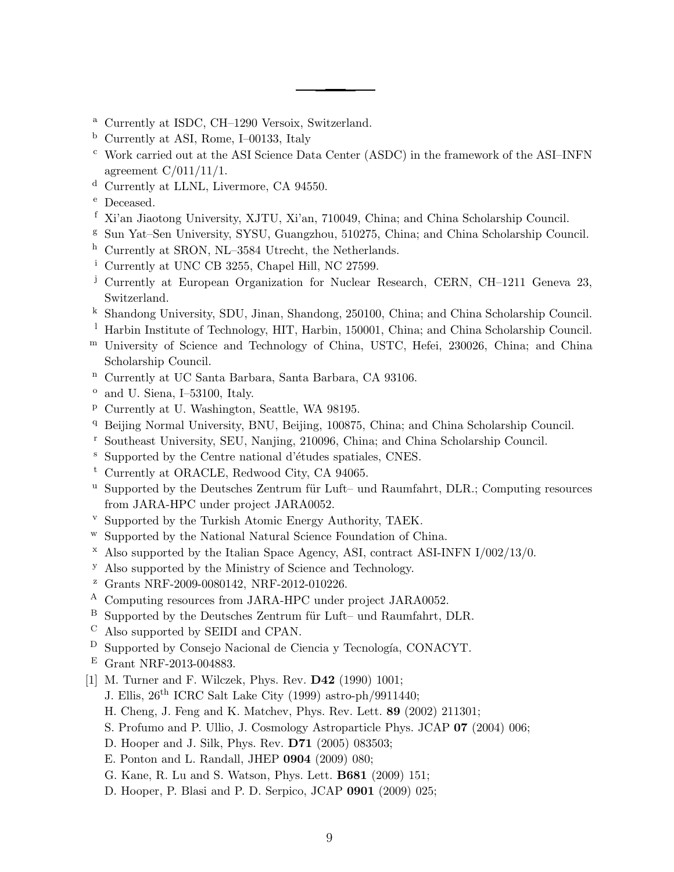- <sup>a</sup> Currently at ISDC, CH–1290 Versoix, Switzerland.
- <sup>b</sup> Currently at ASI, Rome, I–00133, Italy
- <sup>c</sup> Work carried out at the ASI Science Data Center (ASDC) in the framework of the ASI–INFN agreement C/011/11/1.
- <sup>d</sup> Currently at LLNL, Livermore, CA 94550.
- <sup>e</sup> Deceased.
- <sup>f</sup> Xi'an Jiaotong University, XJTU, Xi'an, 710049, China; and China Scholarship Council.
- <sup>g</sup> Sun Yat–Sen University, SYSU, Guangzhou, 510275, China; and China Scholarship Council.
- <sup>h</sup> Currently at SRON, NL–3584 Utrecht, the Netherlands.
- <sup>i</sup> Currently at UNC CB 3255, Chapel Hill, NC 27599.
- <sup>j</sup> Currently at European Organization for Nuclear Research, CERN, CH-1211 Geneva 23. Switzerland.
- <sup>k</sup> Shandong University, SDU, Jinan, Shandong, 250100, China; and China Scholarship Council.
- <sup>1</sup> Harbin Institute of Technology, HIT, Harbin, 150001, China; and China Scholarship Council.
- <sup>m</sup> University of Science and Technology of China, USTC, Hefei, 230026, China; and China Scholarship Council.
- <sup>n</sup> Currently at UC Santa Barbara, Santa Barbara, CA 93106.
- $\degree$  and U. Siena, I-53100, Italy.
- <sup>p</sup> Currently at U. Washington, Seattle, WA 98195.
- <sup>q</sup> Beijing Normal University, BNU, Beijing, 100875, China; and China Scholarship Council.
- <sup>r</sup> Southeast University, SEU, Nanjing, 210096, China; and China Scholarship Council.
- <sup>s</sup> Supported by the Centre national d'études spatiales, CNES.
- <sup>t</sup> Currently at ORACLE, Redwood City, CA 94065.
- $^{\text{u}}$  Supported by the Deutsches Zentrum für Luft– und Raumfahrt, DLR.; Computing resources from JARA-HPC under project JARA0052.
- <sup>v</sup> Supported by the Turkish Atomic Energy Authority, TAEK.
- <sup>w</sup> Supported by the National Natural Science Foundation of China.
- $\alpha$  Also supported by the Italian Space Agency, ASI, contract ASI-INFN I/002/13/0.
- <sup>y</sup> Also supported by the Ministry of Science and Technology.
- <sup>z</sup> Grants NRF-2009-0080142, NRF-2012-010226.
- <sup>A</sup> Computing resources from JARA-HPC under project JARA0052.
- $B$  Supported by the Deutsches Zentrum für Luft– und Raumfahrt, DLR.
- <sup>C</sup> Also supported by SEIDI and CPAN.
- $D$  Supported by Consejo Nacional de Ciencia y Tecnología, CONACYT.
- <sup>E</sup> Grant NRF-2013-004883.
- [1] M. Turner and F. Wilczek, Phys. Rev. **D42** (1990) 1001;
	- J. Ellis, 26th ICRC Salt Lake City (1999) astro-ph/9911440;
	- H. Cheng, J. Feng and K. Matchev, Phys. Rev. Lett. 89 (2002) 211301;
	- S. Profumo and P. Ullio, J. Cosmology Astroparticle Phys. JCAP 07 (2004) 006;
	- D. Hooper and J. Silk, Phys. Rev. D71 (2005) 083503;
	- E. Ponton and L. Randall, JHEP 0904 (2009) 080;
	- G. Kane, R. Lu and S. Watson, Phys. Lett. B681 (2009) 151;
	- D. Hooper, P. Blasi and P. D. Serpico, JCAP 0901 (2009) 025;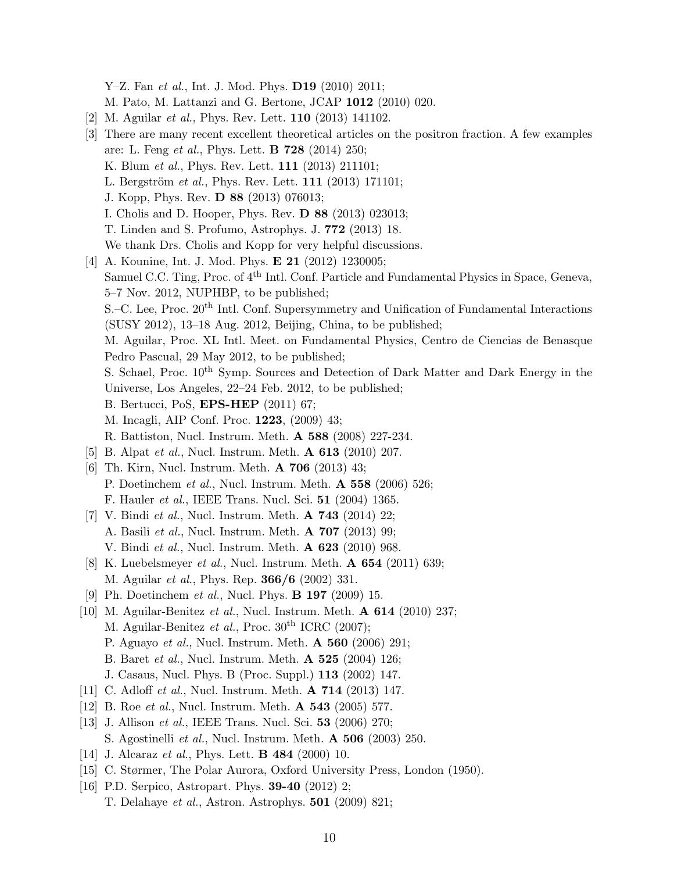Y–Z. Fan et al., Int. J. Mod. Phys. **D19** (2010) 2011;

M. Pato, M. Lattanzi and G. Bertone, JCAP 1012 (2010) 020.

- [2] M. Aguilar et al., Phys. Rev. Lett. 110 (2013) 141102.
- [3] There are many recent excellent theoretical articles on the positron fraction. A few examples are: L. Feng et al., Phys. Lett. **B 728** (2014) 250; K. Blum et al., Phys. Rev. Lett. 111 (2013) 211101; L. Bergström et al., Phys. Rev. Lett. 111 (2013) 171101; J. Kopp, Phys. Rev. D 88 (2013) 076013; I. Cholis and D. Hooper, Phys. Rev. D 88 (2013) 023013; T. Linden and S. Profumo, Astrophys. J. 772 (2013) 18. We thank Drs. Cholis and Kopp for very helpful discussions. [4] A. Kounine, Int. J. Mod. Phys. **E 21** (2012) 1230005; Samuel C.C. Ting, Proc. of 4<sup>th</sup> Intl. Conf. Particle and Fundamental Physics in Space, Geneva, 5–7 Nov. 2012, NUPHBP, to be published; S.–C. Lee, Proc. 20<sup>th</sup> Intl. Conf. Supersymmetry and Unification of Fundamental Interactions (SUSY 2012), 13–18 Aug. 2012, Beijing, China, to be published; M. Aguilar, Proc. XL Intl. Meet. on Fundamental Physics, Centro de Ciencias de Benasque Pedro Pascual, 29 May 2012, to be published; S. Schael, Proc.  $10^{th}$  Symp. Sources and Detection of Dark Matter and Dark Energy in the Universe, Los Angeles, 22–24 Feb. 2012, to be published; B. Bertucci, PoS, EPS-HEP (2011) 67; M. Incagli, AIP Conf. Proc. 1223, (2009) 43; R. Battiston, Nucl. Instrum. Meth. A 588 (2008) 227-234. [5] B. Alpat *et al.*, Nucl. Instrum. Meth. **A 613** (2010) 207. [6] Th. Kirn, Nucl. Instrum. Meth. A 706 (2013) 43; P. Doetinchem et al., Nucl. Instrum. Meth. A 558 (2006) 526; F. Hauler et al., IEEE Trans. Nucl. Sci. 51 (2004) 1365. [7] V. Bindi et al., Nucl. Instrum. Meth. A 743 (2014) 22; A. Basili et al., Nucl. Instrum. Meth. A 707 (2013) 99; V. Bindi et al., Nucl. Instrum. Meth. A 623 (2010) 968. [8] K. Luebelsmeyer *et al.*, Nucl. Instrum. Meth. **A 654** (2011) 639; M. Aguilar et al., Phys. Rep. 366/6 (2002) 331. [9] Ph. Doetinchem et al., Nucl. Phys. B 197 (2009) 15. [10] M. Aguilar-Benitez et al., Nucl. Instrum. Meth. **A 614** (2010) 237; M. Aguilar-Benitez et al., Proc.  $30<sup>th</sup>$  ICRC (2007); P. Aguayo et al., Nucl. Instrum. Meth. A 560 (2006) 291; B. Baret et al., Nucl. Instrum. Meth. A 525 (2004) 126; J. Casaus, Nucl. Phys. B (Proc. Suppl.) 113 (2002) 147.
- [11] C. Adloff et al., Nucl. Instrum. Meth. **A 714** (2013) 147.
- [12] B. Roe *et al.*, Nucl. Instrum. Meth. **A 543** (2005) 577.
- [13] J. Allison *et al.*, IEEE Trans. Nucl. Sci. **53** (2006) 270; S. Agostinelli et al., Nucl. Instrum. Meth. A 506 (2003) 250.
- [14] J. Alcaraz *et al.*, Phys. Lett. **B 484** (2000) 10.
- [15] C. Størmer, The Polar Aurora, Oxford University Press, London (1950).
- [16] P.D. Serpico, Astropart. Phys. **39-40** (2012) 2; T. Delahaye et al., Astron. Astrophys. 501 (2009) 821;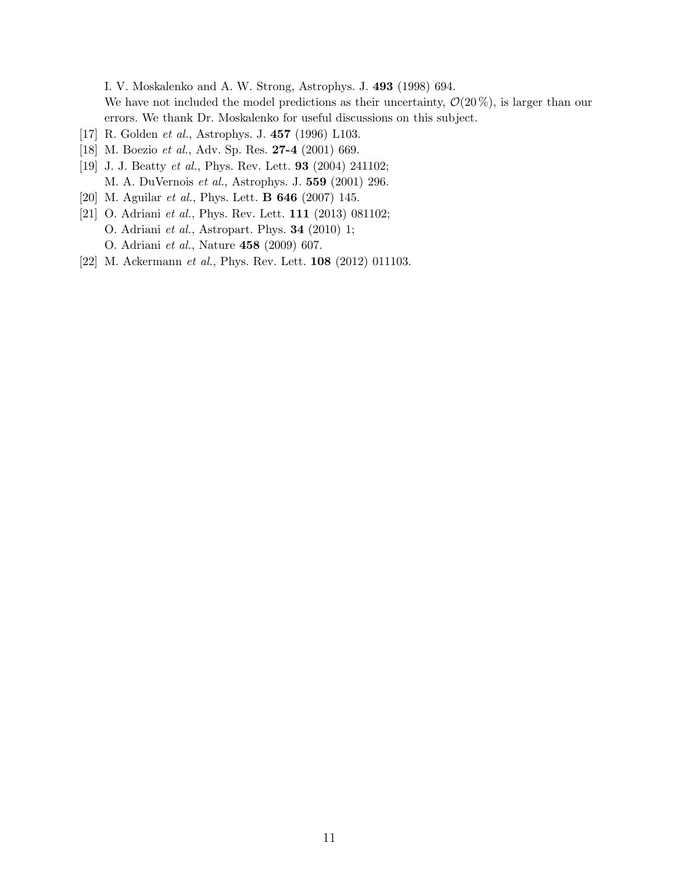I. V. Moskalenko and A. W. Strong, Astrophys. J. 493 (1998) 694. We have not included the model predictions as their uncertainty,  $\mathcal{O}(20\%)$ , is larger than our errors. We thank Dr. Moskalenko for useful discussions on this subject.

- [17] R. Golden et al., Astrophys. J. 457 (1996) L103.
- [18] M. Boezio et al., Adv. Sp. Res. **27-4** (2001) 669.
- [19] J. J. Beatty et al., Phys. Rev. Lett. 93 (2004) 241102; M. A. DuVernois et al., Astrophys. J. 559 (2001) 296.
- [20] M. Aguilar et al., Phys. Lett. B 646 (2007) 145.
- [21] O. Adriani et al., Phys. Rev. Lett. **111** (2013) 081102; O. Adriani et al., Astropart. Phys. 34 (2010) 1; O. Adriani et al., Nature 458 (2009) 607.
- [22] M. Ackermann et al., Phys. Rev. Lett. **108** (2012) 011103.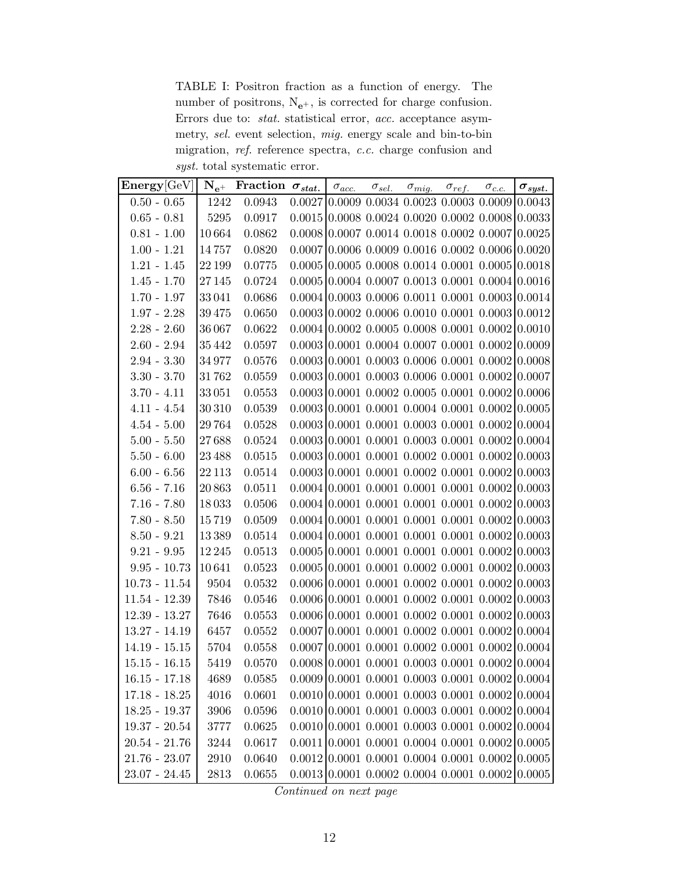TABLE I: Positron fraction as a function of energy. The number of positrons,  $N_{e^+}$ , is corrected for charge confusion. Errors due to: stat. statistical error, acc. acceptance asymmetry, sel. event selection, mig. energy scale and bin-to-bin migration, ref. reference spectra, c.c. charge confusion and syst. total systematic error.

| $\mathbf{Energy}[\text{GeV}]$ |         | $N_{e^+}$ Fraction $\sigma_{stat.}$ |  | $\sigma_{acc.}$ $\sigma_{sel.}$ $\sigma_{mig.}$ $\sigma_{ref.}$ $\sigma_{c.c.}$ |                                                                                  | $\sigma_{syst.}$                                   |
|-------------------------------|---------|-------------------------------------|--|---------------------------------------------------------------------------------|----------------------------------------------------------------------------------|----------------------------------------------------|
| $0.50 - 0.65$                 | 1242    | 0.0943                              |  |                                                                                 | $0.0027$ 0.0009 0.0034 0.0023 0.0003 0.0009 0.0043                               |                                                    |
| $0.65 - 0.81$                 | 5295    | 0.0917                              |  |                                                                                 | $0.0015$ 0.0008 0.0024 0.0020 0.0002 0.0008 0.0033                               |                                                    |
| $0.81 - 1.00$                 | 10664   | 0.0862                              |  |                                                                                 | $0.0008$ 0.0007 0.0014 0.0018 0.0002 0.0007 0.0025                               |                                                    |
| $1.00 - 1.21$                 | 14757   | 0.0820                              |  |                                                                                 | $0.0007$ 0.0006 0.0009 0.0016 0.0002 0.0006 0.0020                               |                                                    |
| $1.21 - 1.45$                 | 22 199  | 0.0775                              |  |                                                                                 | $0.0005$ 0.0005 0.0008 0.0014 0.0001 0.0005 0.0018                               |                                                    |
| $1.45 - 1.70$                 | 27 145  | 0.0724                              |  |                                                                                 | $0.0005$ 0.0004 0.0007 0.0013 0.0001 0.0004 0.0016                               |                                                    |
| $1.70 - 1.97$                 | 33041   | 0.0686                              |  |                                                                                 | $0.0004$ 0.0003 0.0006 0.0011 0.0001 0.0003 0.0014                               |                                                    |
| $1.97 - 2.28$                 | 39475   | 0.0650                              |  |                                                                                 | $0.0003$ 0.0002 0.0006 0.0010 0.0001 0.0003 0.0012                               |                                                    |
| $2.28 - 2.60$                 | 36 067  | 0.0622                              |  |                                                                                 | $0.0004$ 0.0002 0.0005 0.0008 0.0001 0.0002 0.0010                               |                                                    |
| $2.60 - 2.94$                 | 35442   | 0.0597                              |  |                                                                                 | $0.0003$ 0.0001 0.0004 0.0007 0.0001 0.0002 0.0009                               |                                                    |
| $2.94 - 3.30$                 | 34977   | 0.0576                              |  |                                                                                 | $0.0003$ 0.0001 0.0003 0.0006 0.0001 0.0002 0.0008                               |                                                    |
| $3.30 - 3.70$                 | 31762   | 0.0559                              |  |                                                                                 | $0.0003$ 0.0001 0.0003 0.0006 0.0001 0.0002 0.0007                               |                                                    |
| $3.70 - 4.11$                 | 33051   | 0.0553                              |  |                                                                                 | $0.0003$ 0.0001 0.0002 0.0005 0.0001 0.0002 0.0006                               |                                                    |
| $4.11 - 4.54$                 | 30 310  | 0.0539                              |  |                                                                                 | $0.0003$ 0.0001 0.0001 0.0004 0.0001 0.0002 0.0005                               |                                                    |
| $4.54 - 5.00$                 | 29764   | 0.0528                              |  |                                                                                 | $0.0003$ 0.0001 0.0001 0.0003 0.0001 0.0002 0.0004                               |                                                    |
| $5.00 - 5.50$                 | 27688   | 0.0524                              |  |                                                                                 | $0.0003$ 0.0001 0.0001 0.0003 0.0001 0.0002 0.0004                               |                                                    |
| $5.50 - 6.00$                 | 23 4 88 | 0.0515                              |  |                                                                                 | $0.0003$ 0.0001 0.0001 0.0002 0.0001 0.0002                                      | 0.0003                                             |
| $6.00 - 6.56$                 | 22 113  | 0.0514                              |  |                                                                                 | $0.0003$ 0.0001 0.0001 0.0002 0.0001 0.0002 0.0003                               |                                                    |
| $6.56 - 7.16$                 | 20863   | 0.0511                              |  |                                                                                 | $0.0004$ 0.0001 0.0001 0.0001 0.0001 0.0002 0.0003                               |                                                    |
| $7.16 - 7.80$                 | 18033   | 0.0506                              |  |                                                                                 | $0.0004$ 0.0001 0.0001 0.0001 0.0001 0.0002 0.0003                               |                                                    |
| $7.80 - 8.50$                 | 15719   | 0.0509                              |  |                                                                                 | $0.0004$ 0.0001 0.0001 0.0001 0.0001 0.0002 0.0003                               |                                                    |
| $8.50 - 9.21$                 | 13389   | 0.0514                              |  |                                                                                 | $0.0004$ 0.0001 0.0001 0.0001 0.0001 0.0002                                      | 0.0003                                             |
| $9.21 - 9.95$                 | 12 2 45 | 0.0513                              |  |                                                                                 | $0.0005$ 0.0001 0.0001 0.0001 0.0001 0.0002 0.0003                               |                                                    |
| $9.95 - 10.73$                | 10641   | 0.0523                              |  |                                                                                 | $0.0005$ 0.0001 0.0001 0.0002 0.0001 0.0002 0.0003                               |                                                    |
| $10.73 - 11.54$               | 9504    | 0.0532                              |  |                                                                                 | $0.0006$ 0.0001 0.0001 0.0002 0.0001 0.0002 0.0003                               |                                                    |
| $11.54 - 12.39$               | 7846    | 0.0546                              |  |                                                                                 | $0.0006$ 0.0001 0.0001 0.0002 0.0001 0.0002 0.0003                               |                                                    |
| $12.39 - 13.27$               | 7646    | 0.0553                              |  |                                                                                 | $0.0006$ 0.0001 0.0001 0.0002 0.0001 0.0002                                      | 0.0003                                             |
| $13.27 - 14.19$               | 6457    | 0.0552                              |  |                                                                                 | $0.0007$ 0.0001 0.0001 0.0002 0.0001 0.0002 0.0004                               |                                                    |
| $14.19 - 15.15$               | 5704    | 0.0558                              |  |                                                                                 | $0.0007$ 0.0001 0.0001 0.0002 0.0001 0.0002 0.0004                               |                                                    |
| $15.15 - 16.15$               | 5419    | 0.0570                              |  |                                                                                 | $0.0008$ 0.0001 0.0001 0.0003 0.0001 0.0002 0.0004                               |                                                    |
| $16.15 - 17.18$               | 4689    | 0.0585                              |  |                                                                                 |                                                                                  | $0.0009$ 0.0001 0.0001 0.0003 0.0001 0.0002 0.0004 |
| $17.18 - 18.25$               | 4016    | 0.0601                              |  |                                                                                 |                                                                                  | $0.0010$ 0.0001 0.0001 0.0003 0.0001 0.0002 0.0004 |
| $18.25 - 19.37$               | 3906    | 0.0596                              |  |                                                                                 |                                                                                  | $0.0010$ 0.0001 0.0001 0.0003 0.0001 0.0002 0.0004 |
| $19.37 - 20.54$               | 3777    | 0.0625                              |  |                                                                                 | $0.0010 \mid 0.0001 \mid 0.0001 \mid 0.0003 \mid 0.0001 \mid 0.0002 \mid 0.0004$ |                                                    |
| $20.54 - 21.76$               | 3244    | 0.0617                              |  |                                                                                 | $0.0011$ 0.0001 0.0001 0.0004 0.0001 0.0002 0.0005                               |                                                    |
| $21.76 - 23.07$               | 2910    | 0.0640                              |  |                                                                                 | $0.0012$ 0.0001 0.0001 0.0004 0.0001 0.0002 0.0005                               |                                                    |
| $23.07 - 24.45$               | 2813    | 0.0655                              |  |                                                                                 |                                                                                  | $0.0013$ 0.0001 0.0002 0.0004 0.0001 0.0002 0.0005 |

Continued on next page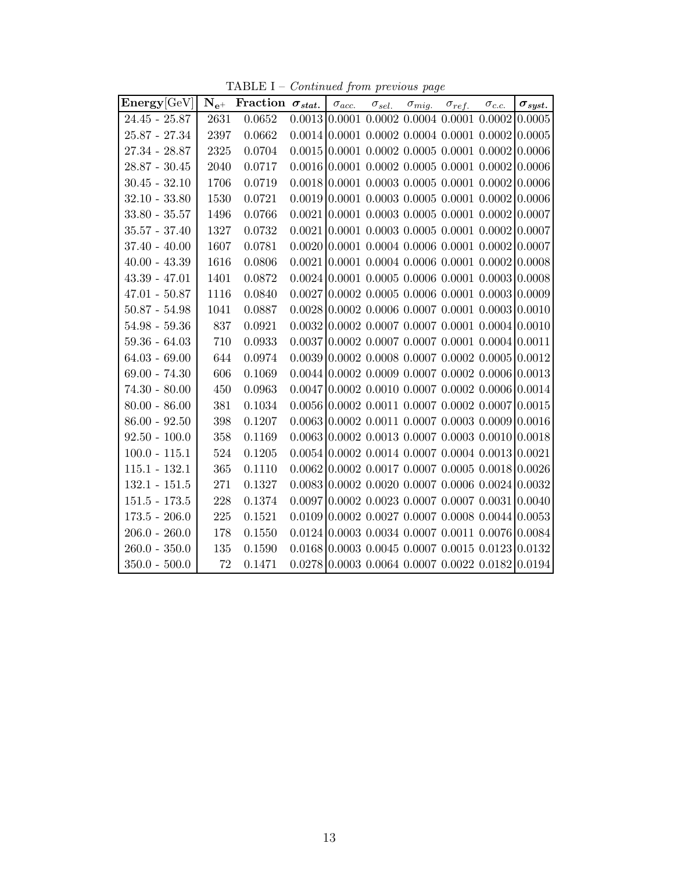TABLE I – Continued from previous page

| Energy[GeV]     |          | $N_{e^+}$ Fraction $\sigma_{stat.}$ | $\sigma_{acc.}$                             | $\sigma_{sel.}$ $\sigma_{mig.}$ $\sigma_{ref.}$ $\sigma_{c.c.}$ |  |                                                                          | $\sigma_{syst.}$ |
|-----------------|----------|-------------------------------------|---------------------------------------------|-----------------------------------------------------------------|--|--------------------------------------------------------------------------|------------------|
| $24.45 - 25.87$ | 2631     | 0.0652                              |                                             |                                                                 |  | $0.0013$ 0.0001 0.0002 0.0004 0.0001 0.0002 0.0005                       |                  |
| $25.87 - 27.34$ | 2397     | 0.0662                              |                                             |                                                                 |  | $0.0014$ $0.0001$ $0.0002$ $0.0004$ $0.0001$ $0.0002$ $0.0005$           |                  |
| $27.34 - 28.87$ | 2325     | 0.0704                              |                                             |                                                                 |  | $0.0015$ 0.0001 0.0002 0.0005 0.0001 0.0002 0.0006                       |                  |
| $28.87 - 30.45$ | 2040     | 0.0717                              | $0.0016$ 0.0001 0.0002 0.0005 0.0001 0.0002 |                                                                 |  |                                                                          | 0.0006           |
| $30.45 - 32.10$ | 1706     | 0.0719                              |                                             |                                                                 |  | $0.0018$ 0.0001 0.0003 0.0005 0.0001 0.0002 0.0006                       |                  |
| $32.10 - 33.80$ | 1530     | 0.0721                              | $0.0019$ 0.0001 0.0003 0.0005 0.0001 0.0002 |                                                                 |  |                                                                          | 0.0006           |
| $33.80 - 35.57$ | 1496     | 0.0766                              |                                             |                                                                 |  | $0.0021$ 0.0001 0.0003 0.0005 0.0001 0.0002 0.0007                       |                  |
| $35.57 - 37.40$ | $1327\,$ | 0.0732                              |                                             |                                                                 |  | $0.0021$ 0.0001 0.0003 0.0005 0.0001 0.0002 0.0007                       |                  |
| $37.40 - 40.00$ | 1607     | 0.0781                              |                                             |                                                                 |  | $0.0020$ $0.0001$ $0.0004$ $0.0006$ $0.0001$ $0.0002$ $0.0007$           |                  |
| $40.00 - 43.39$ | 1616     | 0.0806                              |                                             |                                                                 |  | $0.0021$ 0.0001 0.0004 0.0006 0.0001 0.0002 0.0008                       |                  |
| $43.39 - 47.01$ | 1401     | 0.0872                              |                                             |                                                                 |  | $0.0024$ 0.0001 0.0005 0.0006 0.0001 0.0003 0.0008                       |                  |
| $47.01 - 50.87$ | 1116     | 0.0840                              |                                             |                                                                 |  | $0.0027$ 0.0002 0.0005 0.0006 0.0001 0.0003 0.0009                       |                  |
| $50.87 - 54.98$ | 1041     | 0.0887                              |                                             |                                                                 |  | $0.0028$ 0.0002 0.0006 0.0007 0.0001 0.0003 0.0010                       |                  |
| $54.98 - 59.36$ | 837      | 0.0921                              |                                             |                                                                 |  | $0.0032$ 0.0002 0.0007 0.0007 0.0001 0.0004 0.0010                       |                  |
| $59.36 - 64.03$ | 710      | 0.0933                              |                                             |                                                                 |  | $0.0037$ 0.0002 0.0007 0.0007 0.0001 0.0004 0.0011                       |                  |
| $64.03 - 69.00$ | 644      | 0.0974                              |                                             |                                                                 |  | $0.0039$ 0.0002 0.0008 0.0007 0.0002 0.0005 0.0012                       |                  |
| $69.00 - 74.30$ | 606      | 0.1069                              |                                             |                                                                 |  | $0.0044$ 0.0002 0.0009 0.0007 0.0002 0.0006 0.0013                       |                  |
| $74.30 - 80.00$ | 450      | 0.0963                              |                                             |                                                                 |  | $0.0047$ 0.0002 0.0010 0.0007 0.0002 0.0006 0.0014                       |                  |
| $80.00 - 86.00$ | 381      | 0.1034                              |                                             |                                                                 |  | $0.0056$ 0.0002 0.0011 0.0007 0.0002 0.0007 0.0015                       |                  |
| $86.00 - 92.50$ | 398      | 0.1207                              |                                             |                                                                 |  | $0.0063 \mid 0.0002 \; 0.0011 \; 0.0007 \; 0.0003 \; 0.0009 \mid 0.0016$ |                  |
| $92.50 - 100.0$ | 358      | 0.1169                              |                                             |                                                                 |  | $0.0063$ 0.0002 0.0013 0.0007 0.0003 0.0010 0.0018                       |                  |
| $100.0 - 115.1$ | 524      | 0.1205                              |                                             |                                                                 |  | $0.0054$ 0.0002 0.0014 0.0007 0.0004 0.0013 0.0021                       |                  |
| $115.1 - 132.1$ | 365      | 0.1110                              | $0.0062$ 0.0002 0.0017 0.0007 0.0005 0.0018 |                                                                 |  |                                                                          | 0.0026           |
| $132.1 - 151.5$ | 271      | 0.1327                              |                                             |                                                                 |  | $0.0083$ 0.0002 0.0020 0.0007 0.0006 0.0024 0.0032                       |                  |
| $151.5 - 173.5$ | 228      | 0.1374                              |                                             |                                                                 |  | $0.0097$ 0.0002 0.0023 0.0007 0.0007 0.0031 0.0040                       |                  |
| $173.5 - 206.0$ | 225      | 0.1521                              |                                             |                                                                 |  | $0.0109$ 0.0002 0.0027 0.0007 0.0008 0.0044 0.0053                       |                  |
| $206.0 - 260.0$ | 178      | 0.1550                              |                                             |                                                                 |  | $0.0124$ 0.0003 0.0034 0.0007 0.0011 0.0076 0.0084                       |                  |
| $260.0 - 350.0$ | 135      | 0.1590                              |                                             |                                                                 |  | $0.0168$ 0.0003 0.0045 0.0007 0.0015 0.0123 0.0132                       |                  |
| $350.0 - 500.0$ | 72       | 0.1471                              |                                             |                                                                 |  | $0.0278$ 0.0003 0.0064 0.0007 0.0022 0.0182 0.0194                       |                  |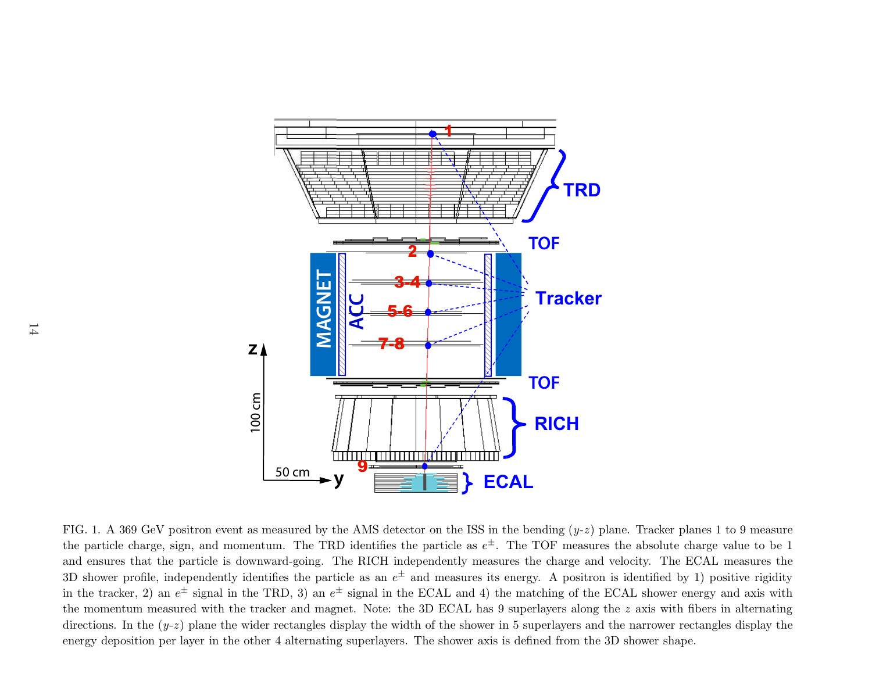

FIG. 1. A 369 GeV positron event as measured by the AMS detector on the ISS in the bending  $(y-z)$  plane. Tracker planes 1 to 9 measure the particle charge, sign, and momentum. The TRD identifies the particle as  $e^{\pm}$ . The TOF measures the absolute charge value to be 1 and ensures that the particle is downward-going. The RICH independently measures the charge and velocity. The ECAL measures the 3D shower profile, independently identifies the particle as an  $e^{\pm}$  and measures its energy. A positron is identified by 1) positive rigidity in the tracker, 2) an  $e^{\pm}$  signal in the TRD, 3) an  $e^{\pm}$  signal in the ECAL and 4) the matching of the ECAL shower energy and axis with the momentum measured with the tracker and magnet. Note: the 3D ECAL has <sup>9</sup> superlayers along the <sup>z</sup> axis with fibers in alternating directions. In the  $(y-z)$  plane the wider rectangles display the width of the shower in 5 superlayers and the narrower rectangles display the energy deposition per layer in the other <sup>4</sup> alternating superlayers. The shower axis is defined from the 3D shower shape.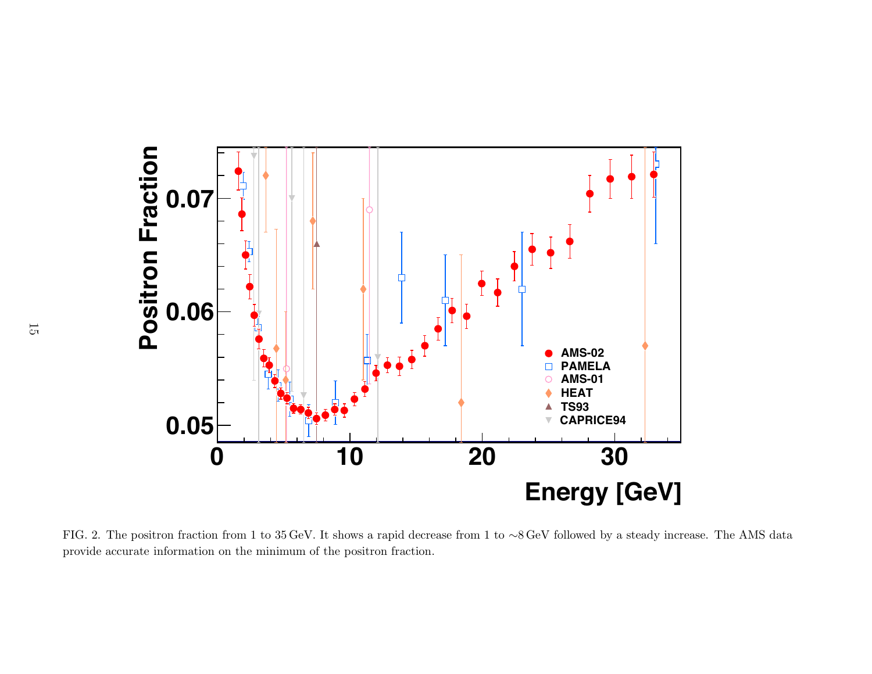

FIG. 2. The positron fraction from <sup>1</sup> to <sup>35</sup> GeV. It shows <sup>a</sup> rapid decrease from <sup>1</sup> to <sup>∼</sup><sup>8</sup> GeV followed by <sup>a</sup> steady increase. The AMS data provide accurate information on the minimum of the positron fraction.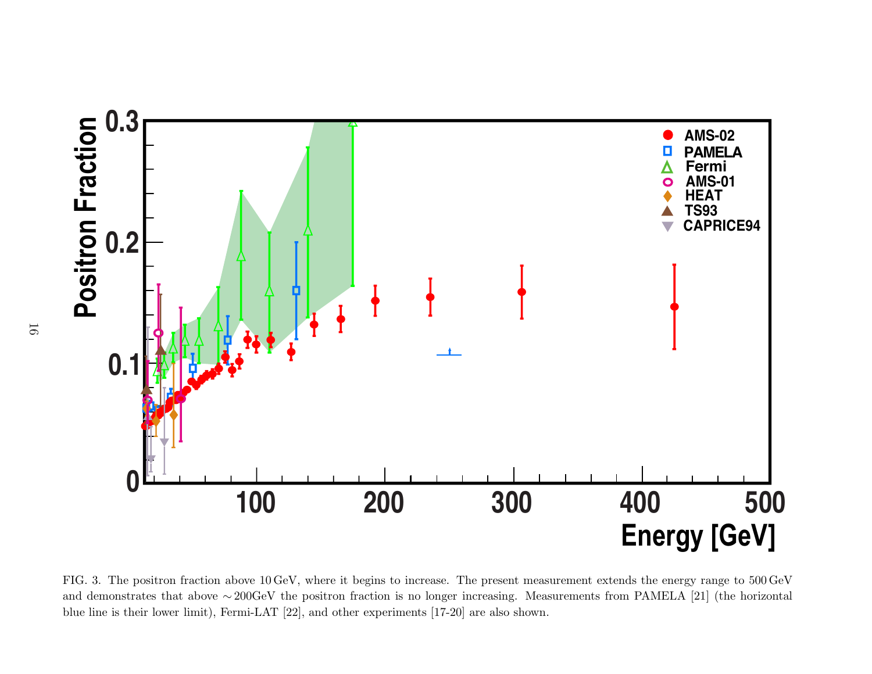

FIG. 3. The positron fraction above <sup>10</sup> GeV, where it begins to increase. The present measurement extends the energy range to <sup>500</sup> GeVand demonstrates that above  $\sim 200 \text{GeV}$  the positron fraction is no longer increasing. Measurements from PAMELA [21] (the horizontal blue line is their lower limit), Fermi-LAT [22], and other experiments [17-20] are also shown.